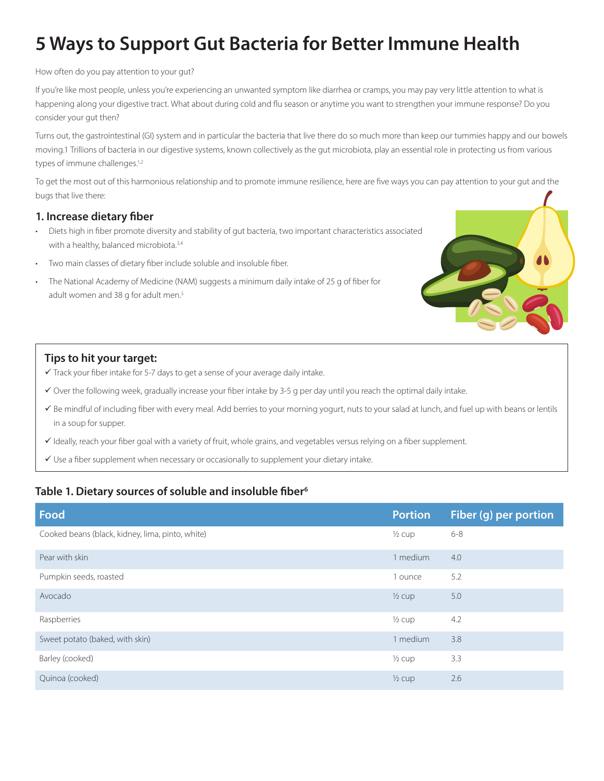# **5 Ways to Support Gut Bacteria for Better Immune Health**

How often do you pay attention to your gut?

If you're like most people, unless you're experiencing an unwanted symptom like diarrhea or cramps, you may pay very little attention to what is happening along your digestive tract. What about during cold and flu season or anytime you want to strengthen your immune response? Do you consider your gut then?

Turns out, the gastrointestinal (GI) system and in particular the bacteria that live there do so much more than keep our tummies happy and our bowels moving.1 Trillions of bacteria in our digestive systems, known collectively as the gut microbiota, play an essential role in protecting us from various types of immune challenges.<sup>1,2</sup>

To get the most out of this harmonious relationship and to promote immune resilience, here are five ways you can pay attention to your gut and the bugs that live there:

#### **1. Increase dietary fiber**

- Diets high in fiber promote diversity and stability of gut bacteria, two important characteristics associated with a healthy, balanced microbiota.<sup>3,4</sup>
- Two main classes of dietary fiber include soluble and insoluble fiber.
- The National Academy of Medicine (NAM) suggests a minimum daily intake of 25 g of fiber for adult women and 38 g for adult men.<sup>5</sup>

#### **Tips to hit your target:**

- Track your fiber intake for 5-7 days to get a sense of your average daily intake.
- Over the following week, gradually increase your fiber intake by 3-5 g per day until you reach the optimal daily intake.
- Be mindful of including fiber with every meal. Add berries to your morning yogurt, nuts to your salad at lunch, and fuel up with beans or lentils in a soup for supper.
- Ideally, reach your fiber goal with a variety of fruit, whole grains, and vegetables versus relying on a fiber supplement.
- Use a fiber supplement when necessary or occasionally to supplement your dietary intake.

### **Table 1. Dietary sources of soluble and insoluble fiber6**

| Food                                             | <b>Portion</b>    | Fiber (g) per portion |
|--------------------------------------------------|-------------------|-----------------------|
| Cooked beans (black, kidney, lima, pinto, white) | $\frac{1}{2}$ cup | $6 - 8$               |
| Pear with skin                                   | 1 medium          | 4.0                   |
| Pumpkin seeds, roasted                           | 1 ounce           | 5.2                   |
| Avocado                                          | $\frac{1}{2}$ cup | 5.0                   |
| Raspberries                                      | $\frac{1}{2}$ cup | 4.2                   |
| Sweet potato (baked, with skin)                  | 1 medium          | 3.8                   |
| Barley (cooked)                                  | $\frac{1}{2}$ cup | 3.3                   |
| Quinoa (cooked)                                  | $\frac{1}{2}$ cup | 2.6                   |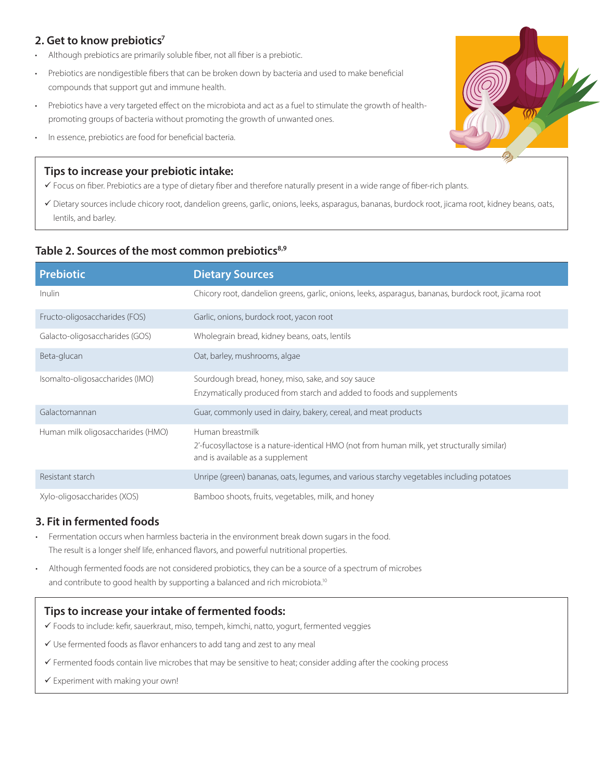## **2. Get to know prebiotics7**

- Although prebiotics are primarily soluble fiber, not all fiber is a prebiotic.
- Prebiotics are nondigestible fibers that can be broken down by bacteria and used to make beneficial compounds that support gut and immune health.
- Prebiotics have a very targeted effect on the microbiota and act as a fuel to stimulate the growth of healthpromoting groups of bacteria without promoting the growth of unwanted ones.
- In essence, prebiotics are food for beneficial bacteria.

#### **Tips to increase your prebiotic intake:**

- Focus on fiber. Prebiotics are a type of dietary fiber and therefore naturally present in a wide range of fiber-rich plants.
- Dietary sources include chicory root, dandelion greens, garlic, onions, leeks, asparagus, bananas, burdock root, jicama root, kidney beans, oats, lentils, and barley.

#### Table 2. Sources of the most common prebiotics<sup>8,9</sup>

| <b>Prebiotic</b>                  | <b>Dietary Sources</b>                                                                                                                              |
|-----------------------------------|-----------------------------------------------------------------------------------------------------------------------------------------------------|
| Inulin                            | Chicory root, dandelion greens, garlic, onions, leeks, asparagus, bananas, burdock root, jicama root                                                |
| Fructo-oligosaccharides (FOS)     | Garlic, onions, burdock root, yacon root                                                                                                            |
| Galacto-oligosaccharides (GOS)    | Wholegrain bread, kidney beans, oats, lentils                                                                                                       |
| Beta-glucan                       | Oat, barley, mushrooms, algae                                                                                                                       |
| Isomalto-oligosaccharides (IMO)   | Sourdough bread, honey, miso, sake, and soy sauce<br>Enzymatically produced from starch and added to foods and supplements                          |
| Galactomannan                     | Guar, commonly used in dairy, bakery, cereal, and meat products                                                                                     |
| Human milk oligosaccharides (HMO) | Human breastmilk<br>2'-fucosyllactose is a nature-identical HMO (not from human milk, yet structurally similar)<br>and is available as a supplement |
| Resistant starch                  | Unripe (green) bananas, oats, legumes, and various starchy vegetables including potatoes                                                            |
| Xylo-oligosaccharides (XOS)       | Bamboo shoots, fruits, vegetables, milk, and honey                                                                                                  |

#### **3. Fit in fermented foods**

- Fermentation occurs when harmless bacteria in the environment break down sugars in the food. The result is a longer shelf life, enhanced flavors, and powerful nutritional properties.
- Although fermented foods are not considered probiotics, they can be a source of a spectrum of microbes and contribute to good health by supporting a balanced and rich microbiota.<sup>10</sup>

#### **Tips to increase your intake of fermented foods:**

- Foods to include: kefir, sauerkraut, miso, tempeh, kimchi, natto, yogurt, fermented veggies
- Use fermented foods as flavor enhancers to add tang and zest to any meal
- Fermented foods contain live microbes that may be sensitive to heat; consider adding after the cooking process
- Experiment with making your own!